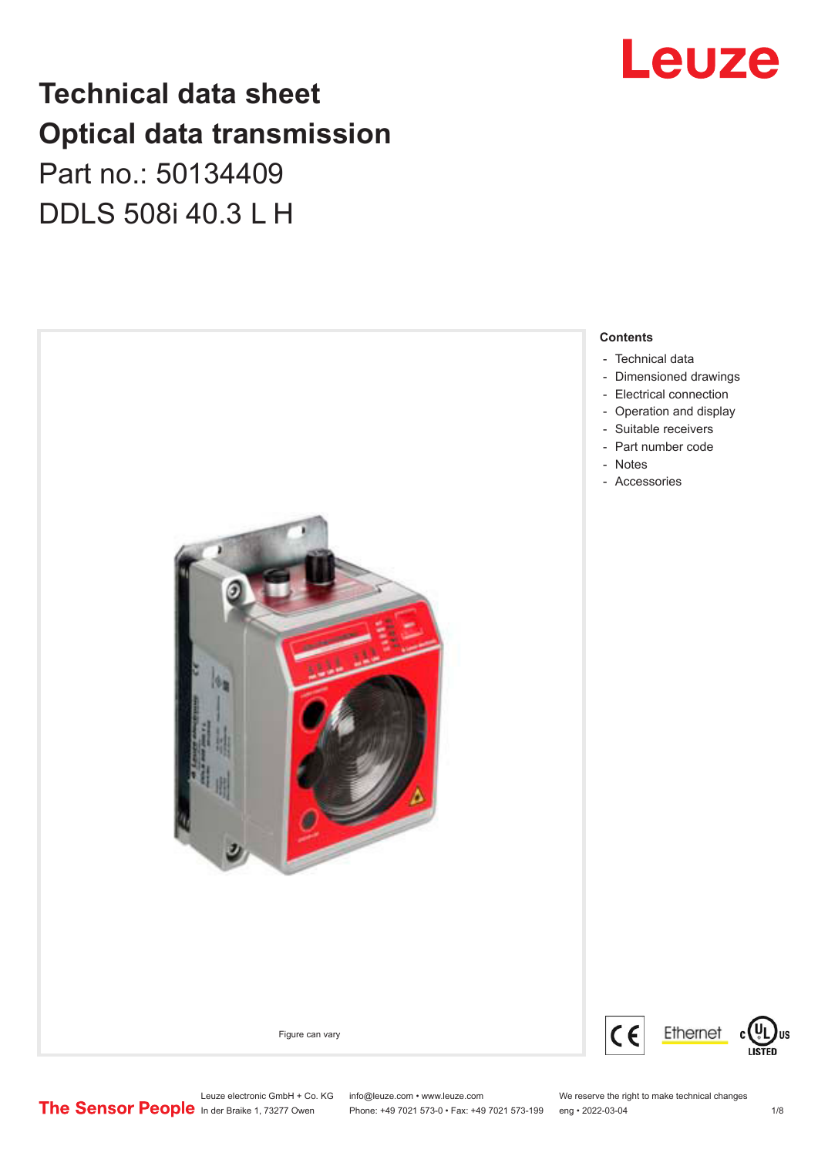## **Technical data sheet Optical data transmission**

## Part no.: 50134409 DDLS 508i 40.3 L H



## Leuze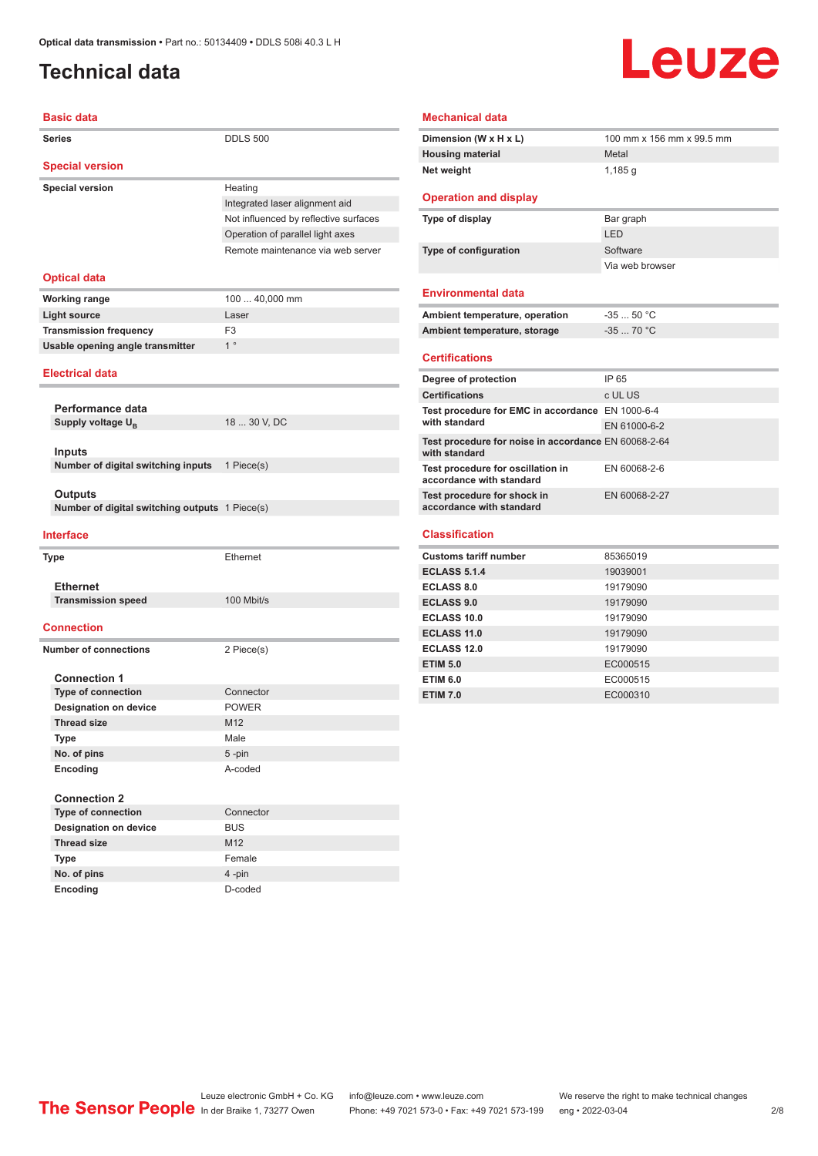### <span id="page-1-0"></span>**Technical data**

# **Leuze**

| <b>Basic data</b>                              |                                       | <b>Mechanical data</b>                                          |                  |
|------------------------------------------------|---------------------------------------|-----------------------------------------------------------------|------------------|
| <b>Series</b>                                  | <b>DDLS 500</b>                       | Dimension (W x H x L)                                           | 100 mm :         |
|                                                |                                       | <b>Housing material</b>                                         | Metal            |
| <b>Special version</b>                         |                                       | Net weight                                                      | 1,185 g          |
| <b>Special version</b>                         | Heating                               |                                                                 |                  |
|                                                | Integrated laser alignment aid        | <b>Operation and display</b>                                    |                  |
|                                                | Not influenced by reflective surfaces | Type of display                                                 | Bar graph        |
|                                                | Operation of parallel light axes      |                                                                 | LED              |
|                                                | Remote maintenance via web server     | Type of configuration                                           | Software         |
|                                                |                                       |                                                                 | Via web b        |
| <b>Optical data</b>                            |                                       | <b>Environmental data</b>                                       |                  |
| <b>Working range</b>                           | 100  40,000 mm                        |                                                                 |                  |
| <b>Light source</b>                            | Laser                                 | Ambient temperature, operation                                  | $-3550$          |
| <b>Transmission frequency</b>                  | F <sub>3</sub>                        | Ambient temperature, storage                                    | $-3570$          |
| Usable opening angle transmitter               | $1^{\circ}$                           | <b>Certifications</b>                                           |                  |
| <b>Electrical data</b>                         |                                       |                                                                 |                  |
|                                                |                                       | Degree of protection<br><b>Certifications</b>                   | IP 65<br>c UL US |
| Performance data                               |                                       |                                                                 |                  |
| Supply voltage $U_{B}$                         | 18  30 V, DC                          | Test procedure for EMC in accordance EN 1000-<br>with standard  | EN 6100          |
| <b>Inputs</b>                                  |                                       | Test procedure for noise in accordance EN 6006<br>with standard |                  |
| Number of digital switching inputs             | 1 Piece(s)                            | Test procedure for oscillation in<br>accordance with standard   | EN 6006          |
| <b>Outputs</b>                                 |                                       | Test procedure for shock in                                     | EN 6006          |
| Number of digital switching outputs 1 Piece(s) |                                       | accordance with standard                                        |                  |
| <b>Interface</b>                               |                                       | <b>Classification</b>                                           |                  |
| Type                                           | Ethernet                              | <b>Customs tariff number</b>                                    | 8536501          |
|                                                |                                       | <b>ECLASS 5.1.4</b>                                             | 1903900          |
| <b>Ethernet</b>                                |                                       | <b>ECLASS 8.0</b>                                               | 1917909          |
| <b>Transmission speed</b>                      | 100 Mbit/s                            | <b>ECLASS 9.0</b>                                               | 1917909          |
|                                                |                                       | <b>ECLASS 10.0</b>                                              | 1917909          |
| <b>Connection</b>                              |                                       | <b>ECLASS 11.0</b>                                              | 1917909          |
| <b>Number of connections</b>                   | 2 Piece(s)                            | <b>ECLASS 12.0</b>                                              | 1917909          |
|                                                |                                       | <b>ETIM 5.0</b>                                                 | EC00051          |
| <b>Connection 1</b>                            |                                       | <b>ETIM 6.0</b>                                                 | EC00051          |
| <b>Type of connection</b>                      | Connector                             | <b>ETIM 7.0</b>                                                 | EC00031          |
| <b>Designation on device</b>                   | <b>POWER</b>                          |                                                                 |                  |
| <b>Thread size</b>                             | M12                                   |                                                                 |                  |
| <b>Type</b>                                    | Male                                  |                                                                 |                  |
| No. of pins                                    | $5$ -pin                              |                                                                 |                  |
| Encoding                                       | A-coded                               |                                                                 |                  |
| <b>Connection 2</b>                            |                                       |                                                                 |                  |
| <b>Type of connection</b>                      | Connector                             |                                                                 |                  |
| <b>Designation on device</b>                   | <b>BUS</b>                            |                                                                 |                  |
| <b>Thread size</b>                             | M12                                   |                                                                 |                  |
| Type                                           | Female                                |                                                                 |                  |
| No. of pins                                    | 4-pin                                 |                                                                 |                  |

#### **Mechanical data**

| Dimension (W x H x L)        | 100 mm x 156 mm x 99.5 mm |
|------------------------------|---------------------------|
| <b>Housing material</b>      | Metal                     |
| Net weight                   | $1,185$ q                 |
| <b>Operation and display</b> |                           |
| Type of display              | Bar graph                 |
|                              | LED                       |

#### **Environmental data**

| Ambient temperature, operation | -35  50 °C |
|--------------------------------|------------|
| Ambient temperature, storage   | $-3570 °C$ |

Via web browser

#### **Certifications**

| Degree of protection                                                  | IP 65         |
|-----------------------------------------------------------------------|---------------|
| <b>Certifications</b>                                                 | c UL US       |
| Test procedure for EMC in accordance EN 1000-6-4                      |               |
| with standard                                                         | EN 61000-6-2  |
| Test procedure for noise in accordance EN 60068-2-64<br>with standard |               |
| Test procedure for oscillation in<br>accordance with standard         | EN 60068-2-6  |
| Test procedure for shock in<br>accordance with standard               | EN 60068-2-27 |

#### **Classification**

| <b>Customs tariff number</b> | 85365019 |
|------------------------------|----------|
| <b>ECLASS 5.1.4</b>          | 19039001 |
| <b>ECLASS 8.0</b>            | 19179090 |
| <b>ECLASS 9.0</b>            | 19179090 |
| ECLASS 10.0                  | 19179090 |
| <b>ECLASS 11.0</b>           | 19179090 |
| ECLASS 12.0                  | 19179090 |
| <b>ETIM 5.0</b>              | EC000515 |
| <b>ETIM 6.0</b>              | EC000515 |
| <b>ETIM 7.0</b>              | EC000310 |

**Encoding** D-coded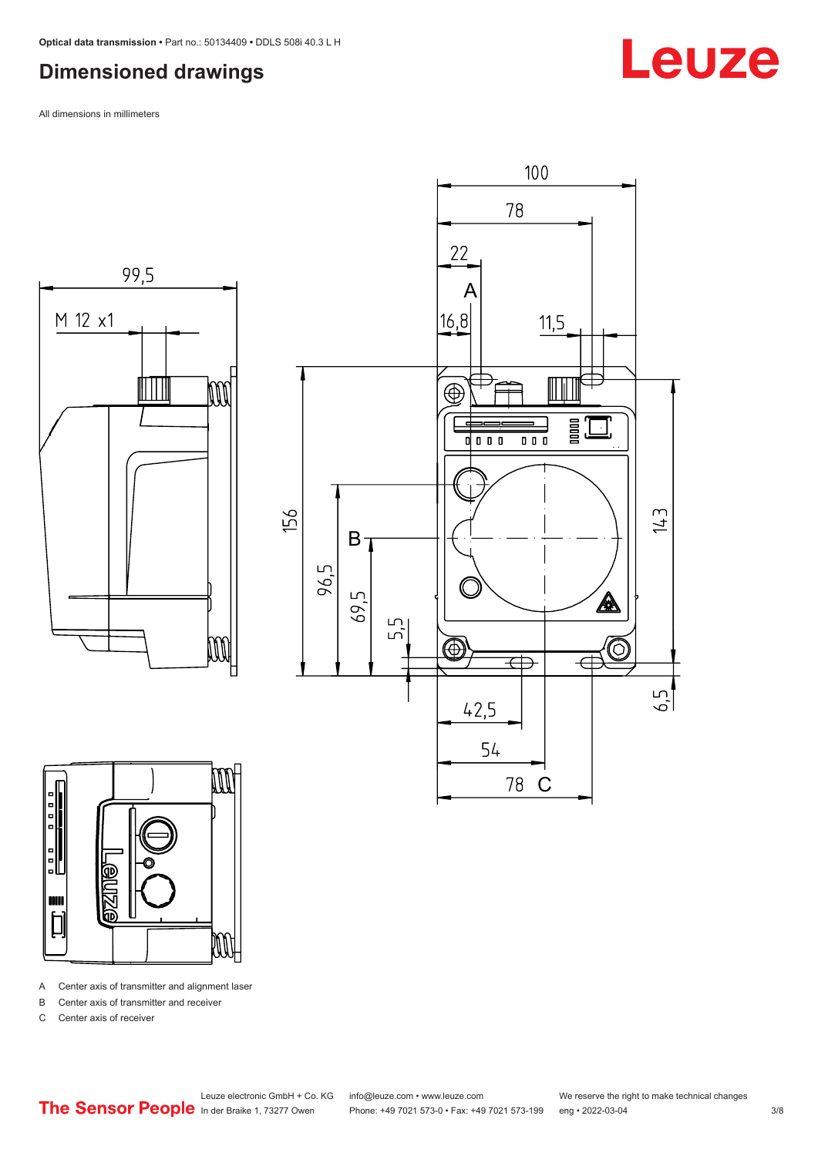### <span id="page-2-0"></span>**Dimensioned drawings**

All dimensions in millimeters







A Center axis of transmitter and alignment laser

B Center axis of transmitter and receiver

C Center axis of receiver



## Leuze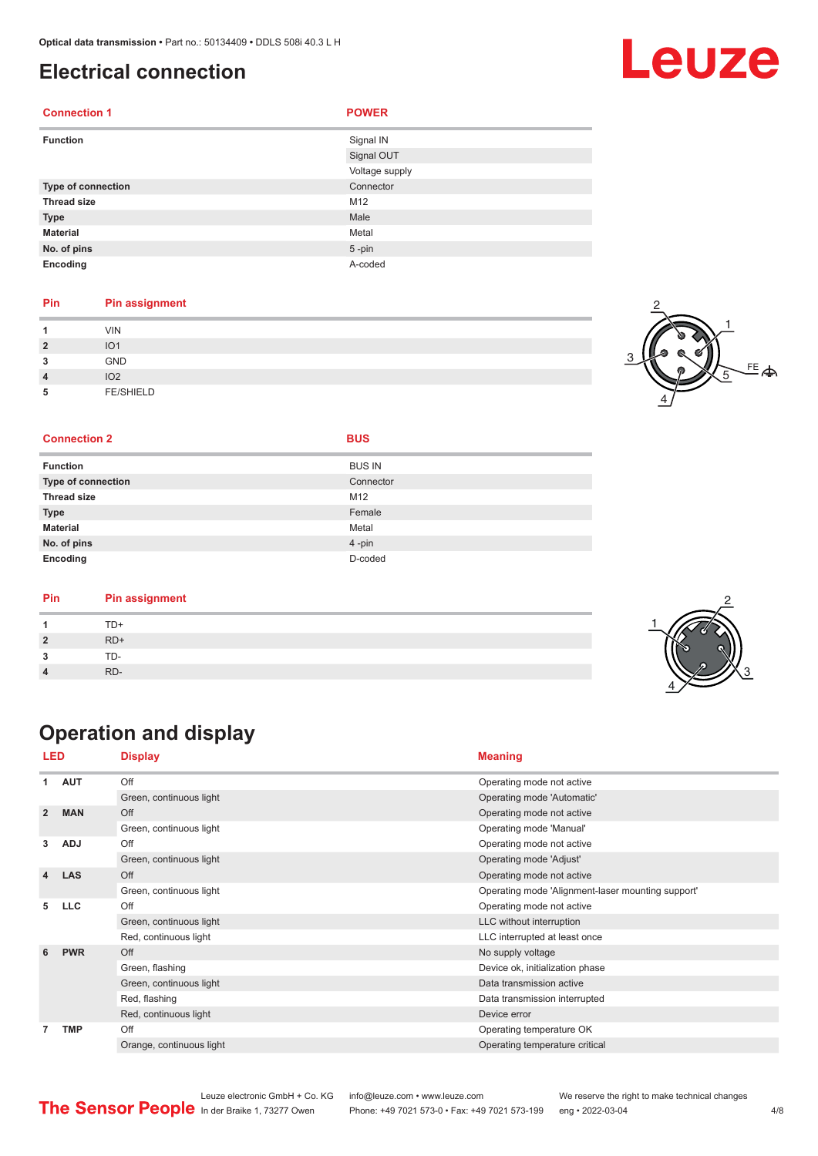### <span id="page-3-0"></span>**Electrical connection**

| <b>Connection 1</b> | <b>POWER</b>   |
|---------------------|----------------|
| <b>Function</b>     | Signal IN      |
|                     | Signal OUT     |
|                     | Voltage supply |
| Type of connection  | Connector      |
| <b>Thread size</b>  | M12            |
| <b>Type</b>         | Male           |
| <b>Material</b>     | Metal          |
| No. of pins         | $5 - pin$      |
| Encoding            | A-coded        |

#### **Pin Pin assignment**

|                | VIN              |  |
|----------------|------------------|--|
| $\overline{2}$ | IO <sub>1</sub>  |  |
| 3              | <b>GND</b>       |  |
| $\overline{4}$ | IO <sub>2</sub>  |  |
| 5              | <b>FE/SHIELD</b> |  |



#### **Connection 2 BUS**

|  |  | × |
|--|--|---|
|  |  |   |

| <b>Function</b>           | <b>BUS IN</b> |
|---------------------------|---------------|
| <b>Type of connection</b> | Connector     |
| <b>Thread size</b>        | M12           |
| <b>Type</b>               | Female        |
| <b>Material</b>           | Metal         |
| No. of pins               | 4-pin         |
| Encoding                  | D-coded       |

| Pin | <b>Pin assignment</b> |  |
|-----|-----------------------|--|
|     | TD+                   |  |
|     | $RD+$                 |  |
|     | TD-                   |  |
|     | RD-                   |  |

### **Operation and display**

| LED            |            | <b>Display</b>           | <b>Meaning</b>                                    |
|----------------|------------|--------------------------|---------------------------------------------------|
| 1              | <b>AUT</b> | Off                      | Operating mode not active                         |
|                |            | Green, continuous light  | Operating mode 'Automatic'                        |
| $\overline{2}$ | <b>MAN</b> | Off                      | Operating mode not active                         |
|                |            | Green, continuous light  | Operating mode 'Manual'                           |
| 3              | <b>ADJ</b> | Off                      | Operating mode not active                         |
|                |            | Green, continuous light  | Operating mode 'Adjust'                           |
| 4              | <b>LAS</b> | Off                      | Operating mode not active                         |
|                |            | Green, continuous light  | Operating mode 'Alignment-laser mounting support' |
| 5              | <b>LLC</b> | Off                      | Operating mode not active                         |
|                |            | Green, continuous light  | LLC without interruption                          |
|                |            | Red, continuous light    | LLC interrupted at least once                     |
| 6              | <b>PWR</b> | Off                      | No supply voltage                                 |
|                |            | Green, flashing          | Device ok, initialization phase                   |
|                |            | Green, continuous light  | Data transmission active                          |
|                |            | Red, flashing            | Data transmission interrupted                     |
|                |            | Red, continuous light    | Device error                                      |
| 7              | <b>TMP</b> | Off                      | Operating temperature OK                          |
|                |            | Orange, continuous light | Operating temperature critical                    |

## Leuze

Leuze electronic GmbH + Co. KG info@leuze.com • www.leuze.com We reserve the right to make technical changes<br>
The Sensor People in der Braike 1, 73277 Owen Phone: +49 7021 573-0 • Fax: +49 7021 573-199 eng • 2022-03-04 Phone: +49 7021 573-0 • Fax: +49 7021 573-199 eng • 2022-03-04 **4/8** 

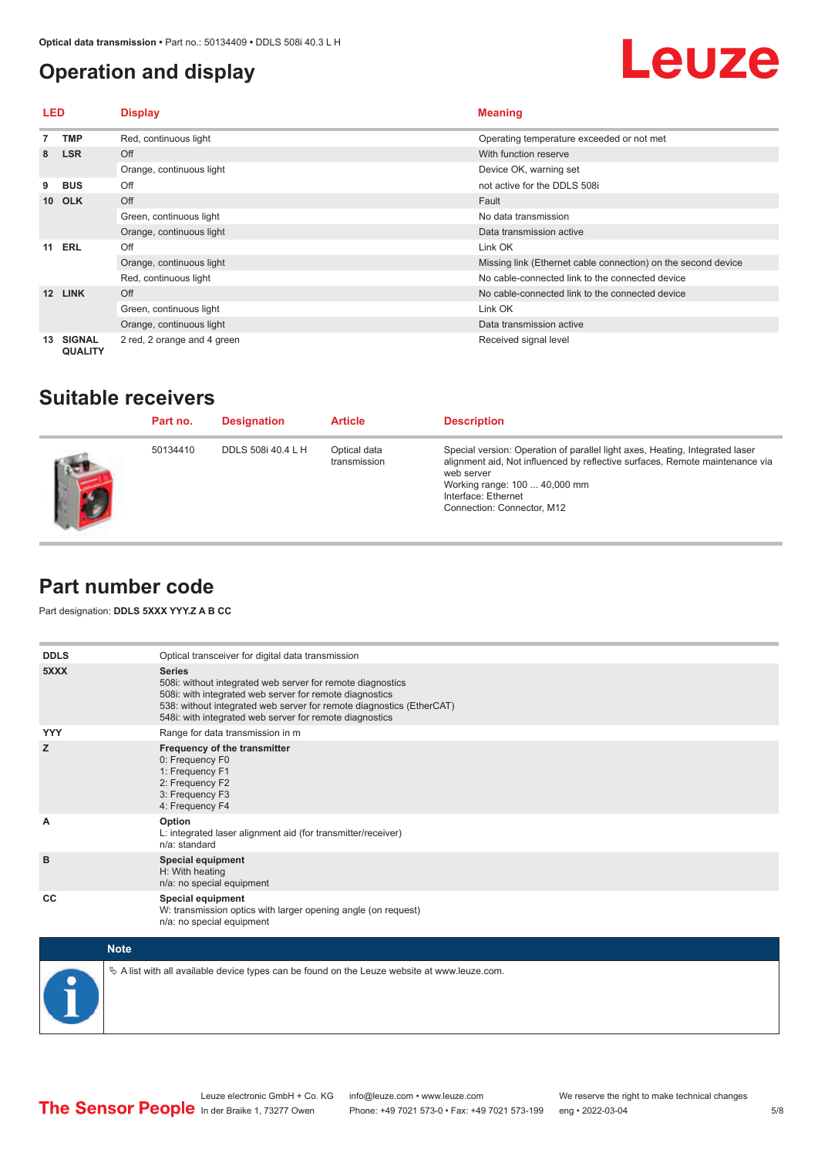### <span id="page-4-0"></span>**Operation and display**

## Leuze

| LED |                                 | <b>Display</b>              | <b>Meaning</b>                                                |
|-----|---------------------------------|-----------------------------|---------------------------------------------------------------|
|     | TMP                             | Red, continuous light       | Operating temperature exceeded or not met                     |
| 8   | <b>LSR</b>                      | Off                         | With function reserve                                         |
|     |                                 | Orange, continuous light    | Device OK, warning set                                        |
| 9   | <b>BUS</b>                      | Off                         | not active for the DDLS 508i                                  |
|     | 10 OLK                          | Off                         | Fault                                                         |
|     |                                 | Green, continuous light     | No data transmission                                          |
|     |                                 | Orange, continuous light    | Data transmission active                                      |
| 11  | ERL                             | Off                         | Link OK                                                       |
|     |                                 | Orange, continuous light    | Missing link (Ethernet cable connection) on the second device |
|     |                                 | Red, continuous light       | No cable-connected link to the connected device               |
| 12  | <b>LINK</b>                     | Off                         | No cable-connected link to the connected device               |
|     |                                 | Green, continuous light     | Link OK                                                       |
|     |                                 | Orange, continuous light    | Data transmission active                                      |
| 13  | <b>SIGNAL</b><br><b>QUALITY</b> | 2 red, 2 orange and 4 green | Received signal level                                         |

### **Suitable receivers**

| Part no. | <b>Designation</b> | <b>Article</b>               | <b>Description</b>                                                                                                                                                                                                                                               |
|----------|--------------------|------------------------------|------------------------------------------------------------------------------------------------------------------------------------------------------------------------------------------------------------------------------------------------------------------|
| 50134410 | DDLS 508i 40.4 L H | Optical data<br>transmission | Special version: Operation of parallel light axes, Heating, Integrated laser<br>alignment aid, Not influenced by reflective surfaces, Remote maintenance via<br>web server<br>Working range: 100  40,000 mm<br>Interface: Ethernet<br>Connection: Connector, M12 |

### **Part number code**

Part designation: **DDLS 5XXX YYY.Z A B CC**

| <b>DDLS</b> | Optical transceiver for digital data transmission                                                                                                                                                                                                                         |
|-------------|---------------------------------------------------------------------------------------------------------------------------------------------------------------------------------------------------------------------------------------------------------------------------|
| 5XXX        | <b>Series</b><br>508i: without integrated web server for remote diagnostics<br>508i: with integrated web server for remote diagnostics<br>538: without integrated web server for remote diagnostics (EtherCAT)<br>548i: with integrated web server for remote diagnostics |
| <b>YYY</b>  | Range for data transmission in m                                                                                                                                                                                                                                          |
| z           | Frequency of the transmitter<br>0: Frequency F0<br>1: Frequency F1<br>2: Frequency F2<br>3: Frequency F3<br>4: Frequency F4                                                                                                                                               |
| A           | Option<br>L: integrated laser alignment aid (for transmitter/receiver)<br>n/a: standard                                                                                                                                                                                   |
| в           | <b>Special equipment</b><br>H: With heating<br>n/a: no special equipment                                                                                                                                                                                                  |
| CC          | <b>Special equipment</b><br>W: transmission optics with larger opening angle (on request)<br>n/a: no special equipment                                                                                                                                                    |

| <b>Note</b>                                                                                     |
|-------------------------------------------------------------------------------------------------|
| $\&$ A list with all available device types can be found on the Leuze website at www.leuze.com. |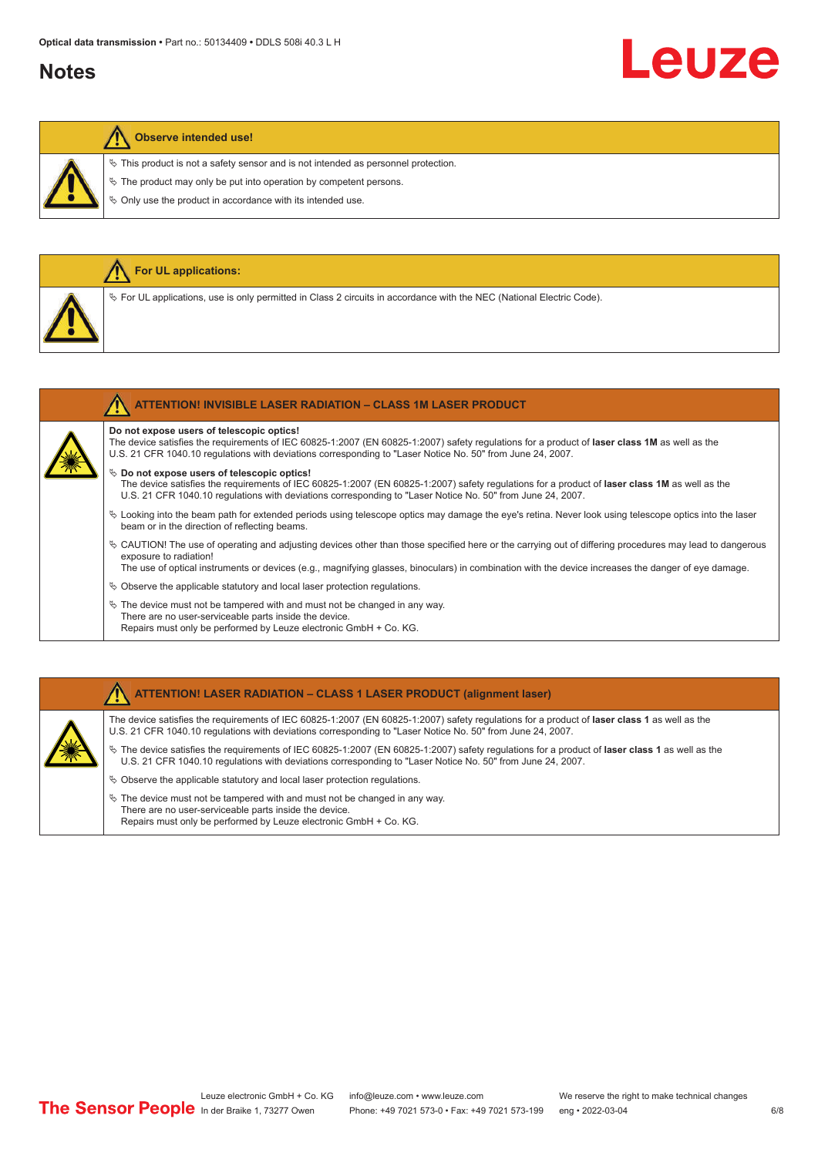### **Notes**

# Leuze

#### **Observe intended use!**

**For UL applications:**

 $\%$  This product is not a safety sensor and is not intended as personnel protection.

 $\&$  The product may only be put into operation by competent persons.

 $\%$  Only use the product in accordance with its intended use.

| $\%$ For UL applications, use is only permitted in Class 2 circuits in accordance with the NEC (National Electric Code).                                                                                                                                                                                      |
|---------------------------------------------------------------------------------------------------------------------------------------------------------------------------------------------------------------------------------------------------------------------------------------------------------------|
| <b>ATTENTION! INVISIBLE LASER RADIATION - CLASS 1M LASER PRODUCT</b>                                                                                                                                                                                                                                          |
| Do not expose users of telescopic optics!<br>The device satisfies the requirements of IEC 60825-1:2007 (EN 60825-1:2007) safety requlations for a product of laser class 1M as well as the<br>U.S. 21 CFR 1040.10 regulations with deviations corresponding to "Laser Notice No. 50" from June 24, 2007.      |
| $\%$ Do not expose users of telescopic optics!<br>The device satisfies the requirements of IEC 60825-1:2007 (EN 60825-1:2007) safety requlations for a product of laser class 1M as well as the<br>U.S. 21 CFR 1040.10 regulations with deviations corresponding to "Laser Notice No. 50" from June 24, 2007. |
| $\%$ Looking into the beam path for extended periods using telescope optics may damage the eye's retina. Never look using telescope optics into the laser<br>beam or in the direction of reflecting beams.                                                                                                    |
|                                                                                                                                                                                                                                                                                                               |

 $\%$  CAUTION! The use of operating and adjusting devices other than those specified here or the carrying out of differing procedures may lead to dangerous exposure to radiation!

The use of optical instruments or devices (e.g., magnifying glasses, binoculars) in combination with the device increases the danger of eye damage.

 $\&$  Observe the applicable statutory and local laser protection regulations.

 $\%$  The device must not be tampered with and must not be changed in any way. There are no user-serviceable parts inside the device. Repairs must only be performed by Leuze electronic GmbH + Co. KG.

#### **ATTENTION! LASER RADIATION – CLASS 1 LASER PRODUCT (alignment laser)**

The device satisfies the requirements of IEC 60825-1:2007 (EN 60825-1:2007) safety regulations for a product of **laser class 1** as well as the U.S. 21 CFR 1040.10 regulations with deviations corresponding to "Laser Notice No. 50" from June 24, 2007.

ª The device satisfies the requirements of IEC 60825-1:2007 (EN 60825-1:2007) safety regulations for a product of **laser class 1** as well as the U.S. 21 CFR 1040.10 regulations with deviations corresponding to "Laser Notice No. 50" from June 24, 2007.

- $\%$  Observe the applicable statutory and local laser protection regulations.
- $\ddot{\phi}$  The device must not be tampered with and must not be changed in any way. There are no user-serviceable parts inside the device. Repairs must only be performed by Leuze electronic GmbH + Co. KG.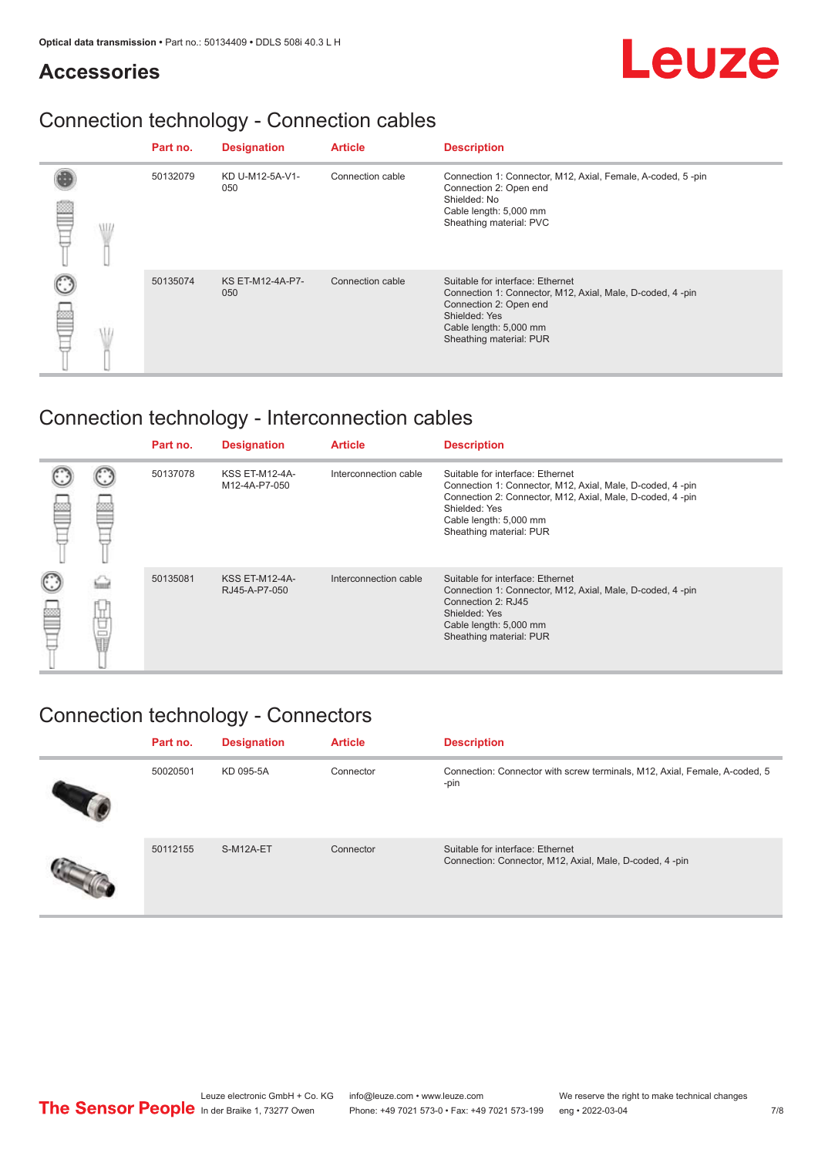### **Accessories**

## Leuze

### Connection technology - Connection cables

|            | Part no. | <b>Designation</b>             | <b>Article</b>   | <b>Description</b>                                                                                                                                                                            |
|------------|----------|--------------------------------|------------------|-----------------------------------------------------------------------------------------------------------------------------------------------------------------------------------------------|
| <b>MIL</b> | 50132079 | KD U-M12-5A-V1-<br>050         | Connection cable | Connection 1: Connector, M12, Axial, Female, A-coded, 5-pin<br>Connection 2: Open end<br>Shielded: No<br>Cable length: 5,000 mm<br>Sheathing material: PVC                                    |
|            | 50135074 | <b>KS ET-M12-4A-P7-</b><br>050 | Connection cable | Suitable for interface: Ethernet<br>Connection 1: Connector, M12, Axial, Male, D-coded, 4-pin<br>Connection 2: Open end<br>Shielded: Yes<br>Cable length: 5,000 mm<br>Sheathing material: PUR |

### Connection technology - Interconnection cables

|             |   | Part no. | <b>Designation</b>                     | <b>Article</b>        | <b>Description</b>                                                                                                                                                                                                               |
|-------------|---|----------|----------------------------------------|-----------------------|----------------------------------------------------------------------------------------------------------------------------------------------------------------------------------------------------------------------------------|
|             |   | 50137078 | <b>KSS ET-M12-4A-</b><br>M12-4A-P7-050 | Interconnection cable | Suitable for interface: Ethernet<br>Connection 1: Connector, M12, Axial, Male, D-coded, 4-pin<br>Connection 2: Connector, M12, Axial, Male, D-coded, 4-pin<br>Shielded: Yes<br>Cable length: 5,000 mm<br>Sheathing material: PUR |
| C<br>ø<br>⋿ | Ö | 50135081 | <b>KSS ET-M12-4A-</b><br>RJ45-A-P7-050 | Interconnection cable | Suitable for interface: Ethernet<br>Connection 1: Connector, M12, Axial, Male, D-coded, 4-pin<br>Connection 2: RJ45<br>Shielded: Yes<br>Cable length: 5,000 mm<br>Sheathing material: PUR                                        |

### Connection technology - Connectors

| Part no. | <b>Designation</b> | <b>Article</b> | <b>Description</b>                                                                          |
|----------|--------------------|----------------|---------------------------------------------------------------------------------------------|
| 50020501 | KD 095-5A          | Connector      | Connection: Connector with screw terminals, M12, Axial, Female, A-coded, 5<br>-pin          |
| 50112155 | S-M12A-ET          | Connector      | Suitable for interface: Ethernet<br>Connection: Connector, M12, Axial, Male, D-coded, 4-pin |